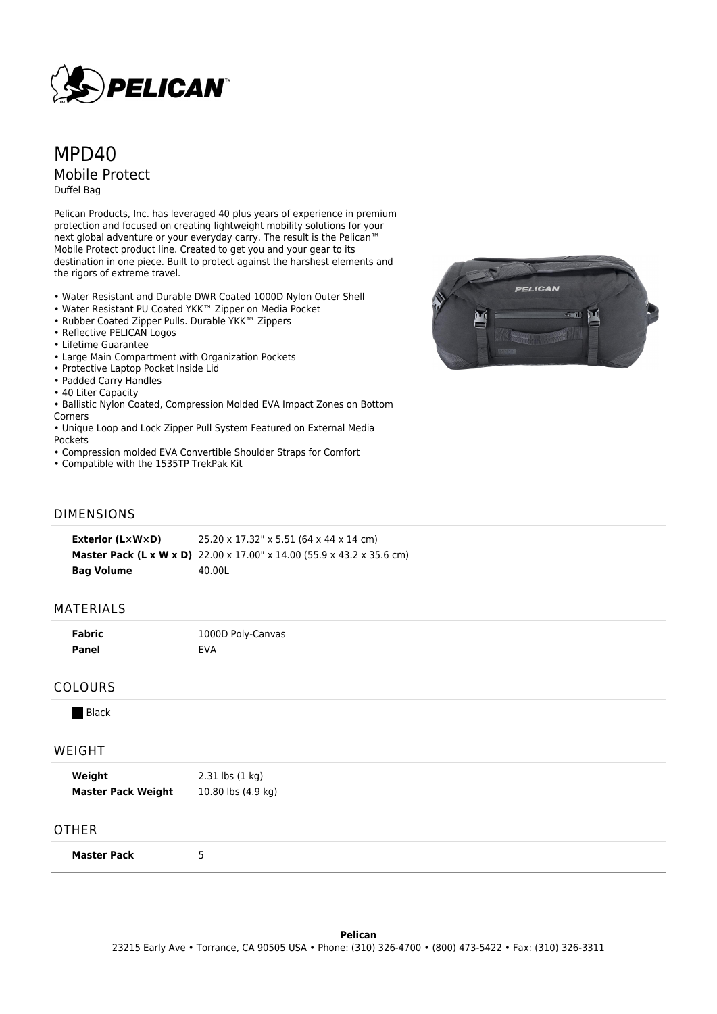

# MPD<sub>40</sub> Mobile Protect Duffel Bag

Pelican Products, Inc. has leveraged 40 plus years of experience in premium protection and focused on creating lightweight mobility solutions for your next global adventure or your everyday carry. The result is the Pelican™ Mobile Protect product line. Created to get you and your gear to its destination in one piece. Built to protect against the harshest elements and the rigors of extreme travel.

- Water Resistant and Durable DWR Coated 1000D Nylon Outer Shell
- Water Resistant PU Coated YKK™ Zipper on Media Pocket
- Rubber Coated Zipper Pulls. Durable YKK™ Zippers
- Reflective PELICAN Logos
- Lifetime Guarantee
- Large Main Compartment with Organization Pockets
- Protective Laptop Pocket Inside Lid
- Padded Carry Handles
- 40 Liter Capacity
- Ballistic Nylon Coated, Compression Molded EVA Impact Zones on Bottom Corners
- Unique Loop and Lock Zipper Pull System Featured on External Media **Pockets**
- Compression molded EVA Convertible Shoulder Straps for Comfort
- Compatible with the 1535TP TrekPak Kit

# $\overline{11}$

PELICAN

## DIMENSIONS

**Exterior (L×W×D)** 25.20 x 17.32" x 5.51 (64 x 44 x 14 cm) **Master Pack (L x W x D)** 22.00 x 17.00" x 14.00 (55.9 x 43.2 x 35.6 cm) **Bag Volume** 40.00L

#### MATERIALS

| <b>Fabric</b> | 1000D Poly-Canvas |
|---------------|-------------------|
| Panel         | <b>EVA</b>        |

### COLOURS

**Black** 

#### WEIGHT

| Weight                    | 2.31 lbs (1 kg)    |
|---------------------------|--------------------|
| <b>Master Pack Weight</b> | 10.80 lbs (4.9 kg) |

#### **OTHER**

**Master Pack** 5